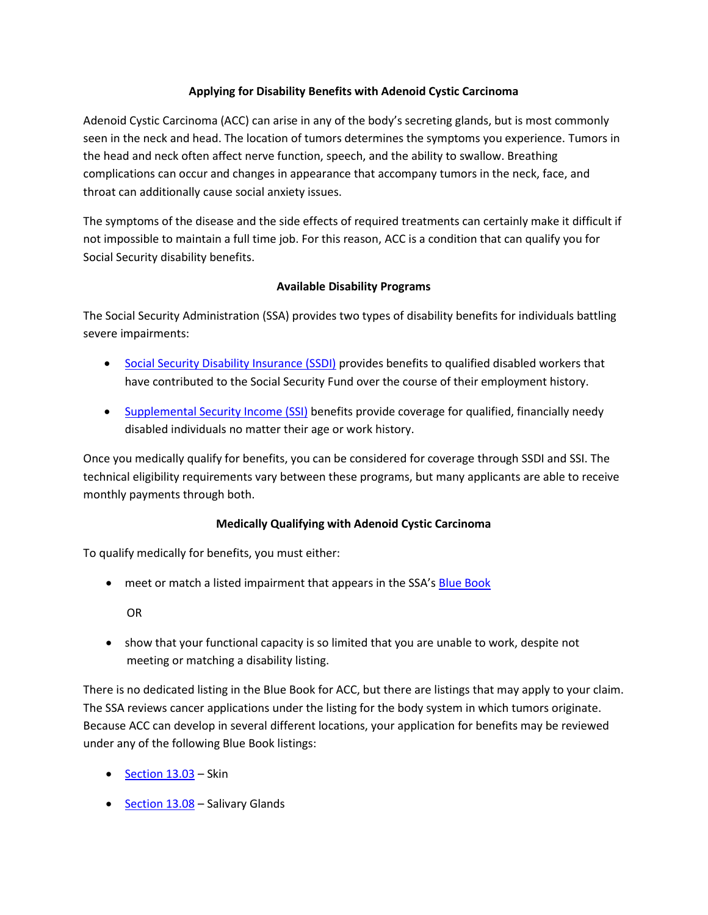# **Applying for Disability Benefits with Adenoid Cystic Carcinoma**

Adenoid Cystic Carcinoma (ACC) can arise in any of the body's secreting glands, but is most commonly seen in the neck and head. The location of tumors determines the symptoms you experience. Tumors in the head and neck often affect nerve function, speech, and the ability to swallow. Breathing complications can occur and changes in appearance that accompany tumors in the neck, face, and throat can additionally cause social anxiety issues.

The symptoms of the disease and the side effects of required treatments can certainly make it difficult if not impossible to maintain a full time job. For this reason, ACC is a condition that can qualify you for Social Security disability benefits.

## **Available Disability Programs**

The Social Security Administration (SSA) provides two types of disability benefits for individuals battling severe impairments:

- [Social Security Disability Insurance \(SSDI\)](http://www.ssa.gov/planners/disability/) provides benefits to qualified disabled workers that have contributed to the Social Security Fund over the course of their employment history.
- [Supplemental Security Income \(SSI\)](http://www.ssa.gov/ssi/) benefits provide coverage for qualified, financially needy disabled individuals no matter their age or work history.

Once you medically qualify for benefits, you can be considered for coverage through SSDI and SSI. The technical eligibility requirements vary between these programs, but many applicants are able to receive monthly payments through both.

# **Medically Qualifying with Adenoid Cystic Carcinoma**

To qualify medically for benefits, you must either:

• meet or match a listed impairment that appears in the SSA's [Blue Book](http://www.ssa.gov/disability/professionals/bluebook/)

OR

 show that your functional capacity is so limited that you are unable to work, despite not meeting or matching a disability listing.

There is no dedicated listing in the Blue Book for ACC, but there are listings that may apply to your claim. The SSA reviews cancer applications under the listing for the body system in which tumors originate. Because ACC can develop in several different locations, your application for benefits may be reviewed under any of the following Blue Book listings:

- $\bullet$  [Section 13.03](http://www.ssa.gov/disability/professionals/bluebook/13.00-NeoplasticDiseases-Malignant-Adult.htm#13_03) Skin
- Section  $13.08$  Salivary Glands